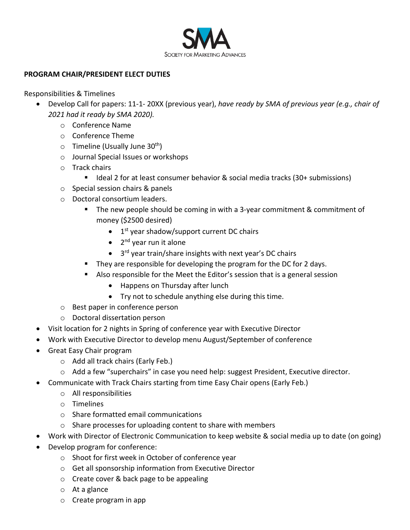

## **PROGRAM CHAIR/PRESIDENT ELECT DUTIES**

Responsibilities & Timelines

- Develop Call for papers: 11-1- 20XX (previous year), *have ready by SMA of previous year (e.g., chair of 2021 had it ready by SMA 2020).* 
	- o Conference Name
	- o Conference Theme
	- $\circ$  Timeline (Usually June 30<sup>th</sup>)
	- o Journal Special Issues or workshops
	- o Track chairs
		- Ideal 2 for at least consumer behavior & social media tracks (30+ submissions)
	- o Special session chairs & panels
	- o Doctoral consortium leaders.
		- The new people should be coming in with a 3-year commitment & commitment of money (\$2500 desired)
			- $\bullet$  1<sup>st</sup> year shadow/support current DC chairs
			- $\bullet$  2<sup>nd</sup> year run it alone
			- 3<sup>rd</sup> year train/share insights with next year's DC chairs
		- **They are responsible for developing the program for the DC for 2 days.**
		- Also responsible for the Meet the Editor's session that is a general session
			- Happens on Thursday after lunch
			- Try not to schedule anything else during this time.
	- o Best paper in conference person
	- o Doctoral dissertation person
- Visit location for 2 nights in Spring of conference year with Executive Director
- Work with Executive Director to develop menu August/September of conference
- Great Easy Chair program
	- o Add all track chairs (Early Feb.)
	- o Add a few "superchairs" in case you need help: suggest President, Executive director.
- Communicate with Track Chairs starting from time Easy Chair opens (Early Feb.)
	- o All responsibilities
	- o Timelines
	- o Share formatted email communications
	- o Share processes for uploading content to share with members
- Work with Director of Electronic Communication to keep website & social media up to date (on going)
- Develop program for conference:
	- o Shoot for first week in October of conference year
	- o Get all sponsorship information from Executive Director
	- o Create cover & back page to be appealing
	- o At a glance
	- o Create program in app